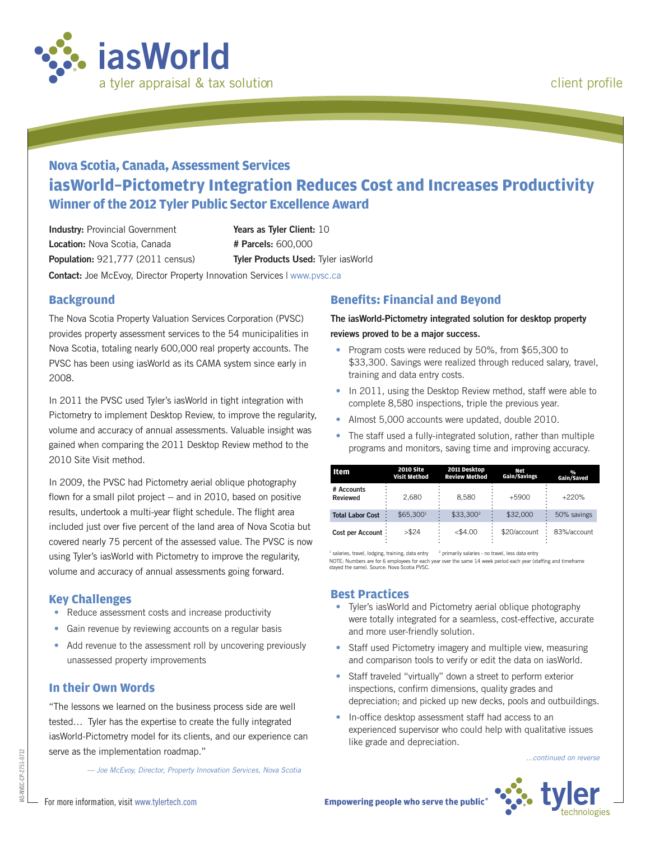

# **Nova Scotia, Canada, Assessment Services iasWorld–Pictometry Integration Reduces Cost and Increases Productivity Winner of the 2012 Tyler Public Sector Excellence Award**

**Industry:** Provincial Government **Location:** Nova Scotia, Canada **Population:** 921,777 (2011 census) **Years as Tyler Client:** 10 **# Parcels:** 600,000 **Tyler Products Used:** Tyler iasWorld

**Contact:** Joe McEvoy, Director Property Innovation Services | www.pvsc.ca

#### **Background**

The Nova Scotia Property Valuation Services Corporation (PVSC) provides property assessment services to the 54 municipalities in Nova Scotia, totaling nearly 600,000 real property accounts. The PVSC has been using iasWorld as its CAMA system since early in 2008.

In 2011 the PVSC used Tyler's iasWorld in tight integration with Pictometry to implement Desktop Review, to improve the regularity, volume and accuracy of annual assessments. Valuable insight was gained when comparing the 2011 Desktop Review method to the 2010 Site Visit method.

In 2009, the PVSC had Pictometry aerial oblique photography flown for a small pilot project -- and in 2010, based on positive results, undertook a multi-year flight schedule. The flight area included just over five percent of the land area of Nova Scotia but covered nearly 75 percent of the assessed value. The PVSC is now using Tyler's iasWorld with Pictometry to improve the regularity, volume and accuracy of annual assessments going forward.

#### **Key Challenges**

- Reduce assessment costs and increase productivity
- Gain revenue by reviewing accounts on a regular basis
- Add revenue to the assessment roll by uncovering previously unassessed property improvements

#### **In their Own Words**

"The lessons we learned on the business process side are well tested… Tyler has the expertise to create the fully integrated iasWorld-Pictometry model for its clients, and our experience can serve as the implementation roadmap."

*— Joe McEvoy, Director, Property Innovation Services, Nova Scotia*

#### **Benefits: Financial and Beyond**

**The iasWorld-Pictometry integrated solution for desktop property reviews proved to be a major success.**

- Program costs were reduced by 50%, from \$65,300 to \$33,300. Savings were realized through reduced salary, travel, training and data entry costs.
- In 2011, using the Desktop Review method, staff were able to complete 8,580 inspections, triple the previous year.
- Almost 5,000 accounts were updated, double 2010.
- The staff used a fully-integrated solution, rather than multiple programs and monitors, saving time and improving accuracy.

| Item                          | <b>2010 Site</b><br>Visit Method | 2011 Desktop<br><b>Review Method</b> | Net<br>Gain/Savings | $\frac{0}{0}$<br>Gain/Saved |
|-------------------------------|----------------------------------|--------------------------------------|---------------------|-----------------------------|
| # Accounts<br><b>Reviewed</b> | 2.680                            | 8.580                                | $+5900$             | $+220%$                     |
| <b>Total Labor Cost</b>       | \$65.300 <sup>1</sup>            | \$33,300 <sup>2</sup>                | \$32,000            | 50% savings                 |
| Cost per Account:             | > \$24                           | $<$ \$4.00                           | \$20/account        | 83%/account                 |

NOTE: Numbers are for 6 employees for each year over the same 14 week period each year (staffing and timeframe stayed the same). Source: Nova Scotia PVSC.  $<sup>1</sup>$  salaries, travel, lodging, training, data entry  $<sup>2</sup>$  primarily salaries - no travel, less data entry</sup></sup>

#### **Best Practices**

- Tyler's iasWorld and Pictometry aerial oblique photography were totally integrated for a seamless, cost-effective, accurate and more user-friendly solution.
- Staff used Pictometry imagery and multiple view, measuring and comparison tools to verify or edit the data on iasWorld.
- Staff traveled "virtually" down a street to perform exterior inspections, confirm dimensions, quality grades and depreciation; and picked up new decks, pools and outbuildings.
- In-office desktop assessment staff had access to an experienced supervisor who could help with qualitative issues like grade and depreciation.

*...continued on reverse*